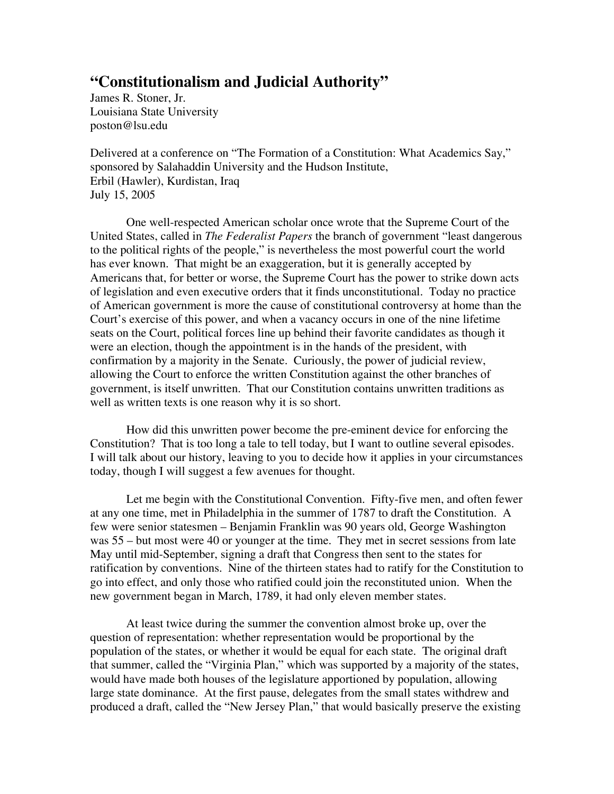## **"Constitutionalism and Judicial Authority"**

James R. Stoner, Jr. Louisiana State University poston@lsu.edu

Delivered at a conference on "The Formation of a Constitution: What Academics Say," sponsored by Salahaddin University and the Hudson Institute, Erbil (Hawler), Kurdistan, Iraq July 15, 2005

 One well-respected American scholar once wrote that the Supreme Court of the United States, called in *The Federalist Papers* the branch of government "least dangerous to the political rights of the people," is nevertheless the most powerful court the world has ever known. That might be an exaggeration, but it is generally accepted by Americans that, for better or worse, the Supreme Court has the power to strike down acts of legislation and even executive orders that it finds unconstitutional. Today no practice of American government is more the cause of constitutional controversy at home than the Court's exercise of this power, and when a vacancy occurs in one of the nine lifetime seats on the Court, political forces line up behind their favorite candidates as though it were an election, though the appointment is in the hands of the president, with confirmation by a majority in the Senate. Curiously, the power of judicial review, allowing the Court to enforce the written Constitution against the other branches of government, is itself unwritten. That our Constitution contains unwritten traditions as well as written texts is one reason why it is so short.

 How did this unwritten power become the pre-eminent device for enforcing the Constitution? That is too long a tale to tell today, but I want to outline several episodes. I will talk about our history, leaving to you to decide how it applies in your circumstances today, though I will suggest a few avenues for thought.

 Let me begin with the Constitutional Convention. Fifty-five men, and often fewer at any one time, met in Philadelphia in the summer of 1787 to draft the Constitution. A few were senior statesmen – Benjamin Franklin was 90 years old, George Washington was 55 – but most were 40 or younger at the time. They met in secret sessions from late May until mid-September, signing a draft that Congress then sent to the states for ratification by conventions. Nine of the thirteen states had to ratify for the Constitution to go into effect, and only those who ratified could join the reconstituted union. When the new government began in March, 1789, it had only eleven member states.

 At least twice during the summer the convention almost broke up, over the question of representation: whether representation would be proportional by the population of the states, or whether it would be equal for each state. The original draft that summer, called the "Virginia Plan," which was supported by a majority of the states, would have made both houses of the legislature apportioned by population, allowing large state dominance. At the first pause, delegates from the small states withdrew and produced a draft, called the "New Jersey Plan," that would basically preserve the existing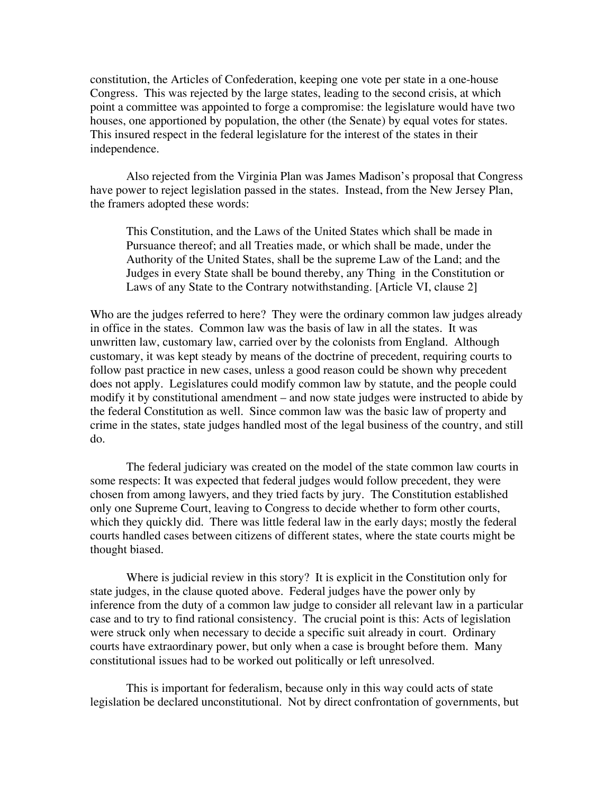constitution, the Articles of Confederation, keeping one vote per state in a one-house Congress. This was rejected by the large states, leading to the second crisis, at which point a committee was appointed to forge a compromise: the legislature would have two houses, one apportioned by population, the other (the Senate) by equal votes for states. This insured respect in the federal legislature for the interest of the states in their independence.

Also rejected from the Virginia Plan was James Madison's proposal that Congress have power to reject legislation passed in the states. Instead, from the New Jersey Plan, the framers adopted these words:

This Constitution, and the Laws of the United States which shall be made in Pursuance thereof; and all Treaties made, or which shall be made, under the Authority of the United States, shall be the supreme Law of the Land; and the Judges in every State shall be bound thereby, any Thing in the Constitution or Laws of any State to the Contrary notwithstanding. [Article VI, clause 2]

Who are the judges referred to here? They were the ordinary common law judges already in office in the states. Common law was the basis of law in all the states. It was unwritten law, customary law, carried over by the colonists from England. Although customary, it was kept steady by means of the doctrine of precedent, requiring courts to follow past practice in new cases, unless a good reason could be shown why precedent does not apply. Legislatures could modify common law by statute, and the people could modify it by constitutional amendment – and now state judges were instructed to abide by the federal Constitution as well. Since common law was the basic law of property and crime in the states, state judges handled most of the legal business of the country, and still do.

 The federal judiciary was created on the model of the state common law courts in some respects: It was expected that federal judges would follow precedent, they were chosen from among lawyers, and they tried facts by jury. The Constitution established only one Supreme Court, leaving to Congress to decide whether to form other courts, which they quickly did. There was little federal law in the early days; mostly the federal courts handled cases between citizens of different states, where the state courts might be thought biased.

 Where is judicial review in this story? It is explicit in the Constitution only for state judges, in the clause quoted above. Federal judges have the power only by inference from the duty of a common law judge to consider all relevant law in a particular case and to try to find rational consistency. The crucial point is this: Acts of legislation were struck only when necessary to decide a specific suit already in court. Ordinary courts have extraordinary power, but only when a case is brought before them. Many constitutional issues had to be worked out politically or left unresolved.

 This is important for federalism, because only in this way could acts of state legislation be declared unconstitutional. Not by direct confrontation of governments, but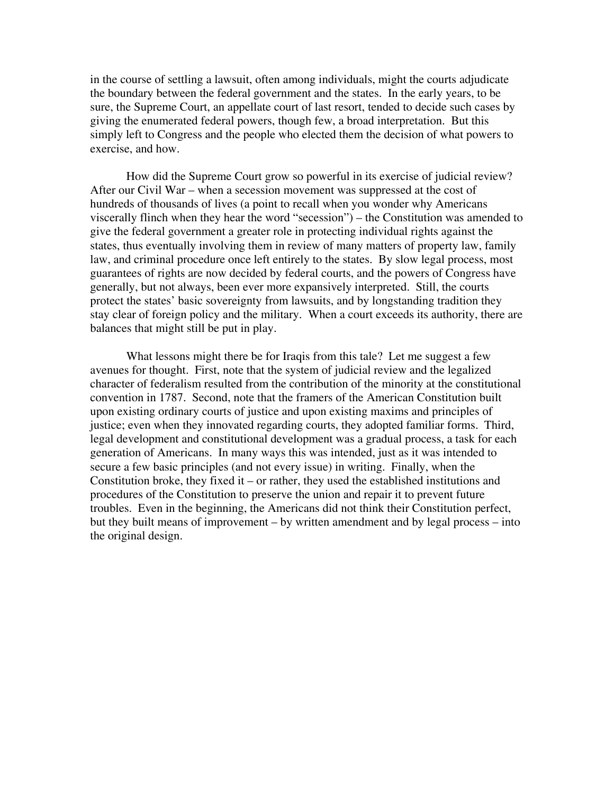in the course of settling a lawsuit, often among individuals, might the courts adjudicate the boundary between the federal government and the states. In the early years, to be sure, the Supreme Court, an appellate court of last resort, tended to decide such cases by giving the enumerated federal powers, though few, a broad interpretation. But this simply left to Congress and the people who elected them the decision of what powers to exercise, and how.

 How did the Supreme Court grow so powerful in its exercise of judicial review? After our Civil War – when a secession movement was suppressed at the cost of hundreds of thousands of lives (a point to recall when you wonder why Americans viscerally flinch when they hear the word "secession") – the Constitution was amended to give the federal government a greater role in protecting individual rights against the states, thus eventually involving them in review of many matters of property law, family law, and criminal procedure once left entirely to the states. By slow legal process, most guarantees of rights are now decided by federal courts, and the powers of Congress have generally, but not always, been ever more expansively interpreted. Still, the courts protect the states' basic sovereignty from lawsuits, and by longstanding tradition they stay clear of foreign policy and the military. When a court exceeds its authority, there are balances that might still be put in play.

 What lessons might there be for Iraqis from this tale? Let me suggest a few avenues for thought. First, note that the system of judicial review and the legalized character of federalism resulted from the contribution of the minority at the constitutional convention in 1787. Second, note that the framers of the American Constitution built upon existing ordinary courts of justice and upon existing maxims and principles of justice; even when they innovated regarding courts, they adopted familiar forms. Third, legal development and constitutional development was a gradual process, a task for each generation of Americans. In many ways this was intended, just as it was intended to secure a few basic principles (and not every issue) in writing. Finally, when the Constitution broke, they fixed it – or rather, they used the established institutions and procedures of the Constitution to preserve the union and repair it to prevent future troubles. Even in the beginning, the Americans did not think their Constitution perfect, but they built means of improvement – by written amendment and by legal process – into the original design.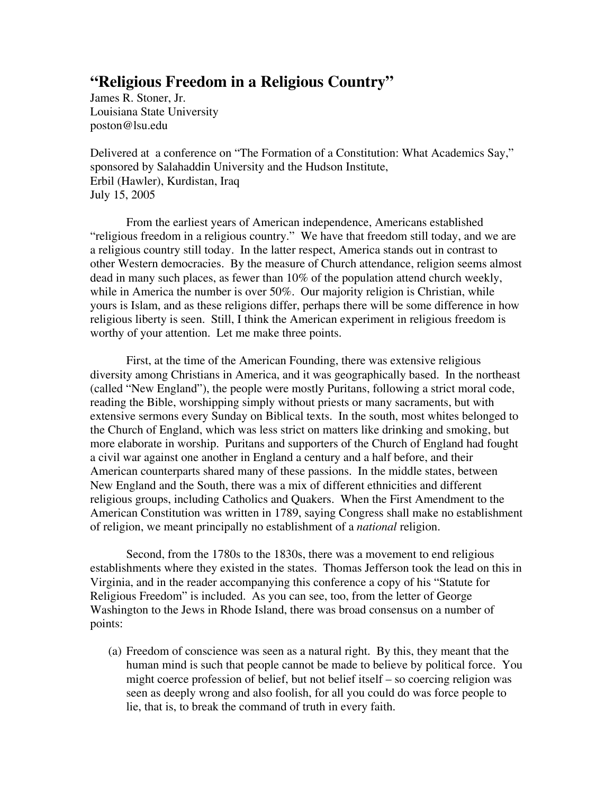### **"Religious Freedom in a Religious Country"**

James R. Stoner, Jr. Louisiana State University poston@lsu.edu

Delivered at a conference on "The Formation of a Constitution: What Academics Say," sponsored by Salahaddin University and the Hudson Institute, Erbil (Hawler), Kurdistan, Iraq July 15, 2005

 From the earliest years of American independence, Americans established "religious freedom in a religious country." We have that freedom still today, and we are a religious country still today. In the latter respect, America stands out in contrast to other Western democracies. By the measure of Church attendance, religion seems almost dead in many such places, as fewer than 10% of the population attend church weekly, while in America the number is over 50%. Our majority religion is Christian, while yours is Islam, and as these religions differ, perhaps there will be some difference in how religious liberty is seen. Still, I think the American experiment in religious freedom is worthy of your attention. Let me make three points.

 First, at the time of the American Founding, there was extensive religious diversity among Christians in America, and it was geographically based. In the northeast (called "New England"), the people were mostly Puritans, following a strict moral code, reading the Bible, worshipping simply without priests or many sacraments, but with extensive sermons every Sunday on Biblical texts. In the south, most whites belonged to the Church of England, which was less strict on matters like drinking and smoking, but more elaborate in worship. Puritans and supporters of the Church of England had fought a civil war against one another in England a century and a half before, and their American counterparts shared many of these passions. In the middle states, between New England and the South, there was a mix of different ethnicities and different religious groups, including Catholics and Quakers. When the First Amendment to the American Constitution was written in 1789, saying Congress shall make no establishment of religion, we meant principally no establishment of a *national* religion.

 Second, from the 1780s to the 1830s, there was a movement to end religious establishments where they existed in the states. Thomas Jefferson took the lead on this in Virginia, and in the reader accompanying this conference a copy of his "Statute for Religious Freedom" is included. As you can see, too, from the letter of George Washington to the Jews in Rhode Island, there was broad consensus on a number of points:

(a) Freedom of conscience was seen as a natural right. By this, they meant that the human mind is such that people cannot be made to believe by political force. You might coerce profession of belief, but not belief itself – so coercing religion was seen as deeply wrong and also foolish, for all you could do was force people to lie, that is, to break the command of truth in every faith.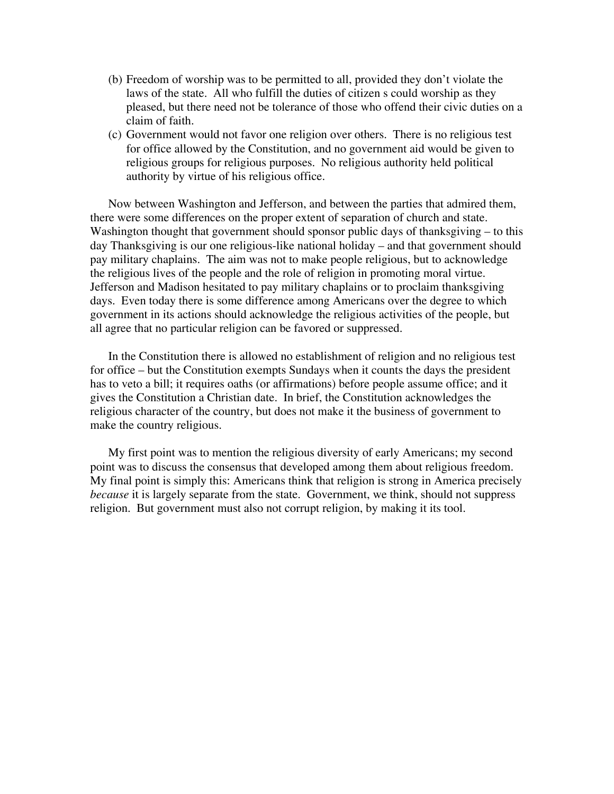- (b) Freedom of worship was to be permitted to all, provided they don't violate the laws of the state. All who fulfill the duties of citizen s could worship as they pleased, but there need not be tolerance of those who offend their civic duties on a claim of faith.
- (c) Government would not favor one religion over others. There is no religious test for office allowed by the Constitution, and no government aid would be given to religious groups for religious purposes. No religious authority held political authority by virtue of his religious office.

Now between Washington and Jefferson, and between the parties that admired them, there were some differences on the proper extent of separation of church and state. Washington thought that government should sponsor public days of thanksgiving – to this day Thanksgiving is our one religious-like national holiday – and that government should pay military chaplains. The aim was not to make people religious, but to acknowledge the religious lives of the people and the role of religion in promoting moral virtue. Jefferson and Madison hesitated to pay military chaplains or to proclaim thanksgiving days. Even today there is some difference among Americans over the degree to which government in its actions should acknowledge the religious activities of the people, but all agree that no particular religion can be favored or suppressed.

In the Constitution there is allowed no establishment of religion and no religious test for office – but the Constitution exempts Sundays when it counts the days the president has to veto a bill; it requires oaths (or affirmations) before people assume office; and it gives the Constitution a Christian date. In brief, the Constitution acknowledges the religious character of the country, but does not make it the business of government to make the country religious.

My first point was to mention the religious diversity of early Americans; my second point was to discuss the consensus that developed among them about religious freedom. My final point is simply this: Americans think that religion is strong in America precisely *because* it is largely separate from the state. Government, we think, should not suppress religion. But government must also not corrupt religion, by making it its tool.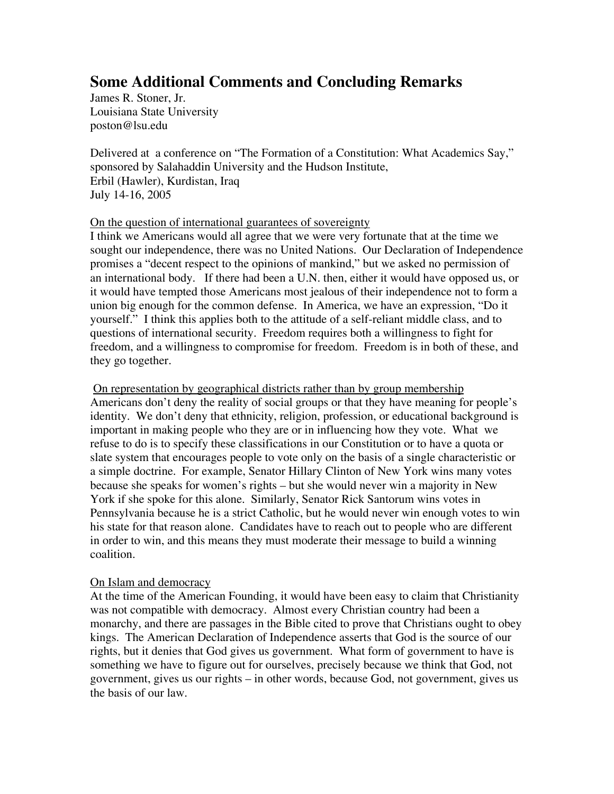# **Some Additional Comments and Concluding Remarks**

James R. Stoner, Jr. Louisiana State University poston@lsu.edu

Delivered at a conference on "The Formation of a Constitution: What Academics Say," sponsored by Salahaddin University and the Hudson Institute, Erbil (Hawler), Kurdistan, Iraq July 14-16, 2005

### On the question of international guarantees of sovereignty

I think we Americans would all agree that we were very fortunate that at the time we sought our independence, there was no United Nations. Our Declaration of Independence promises a "decent respect to the opinions of mankind," but we asked no permission of an international body. If there had been a U.N. then, either it would have opposed us, or it would have tempted those Americans most jealous of their independence not to form a union big enough for the common defense. In America, we have an expression, "Do it yourself." I think this applies both to the attitude of a self-reliant middle class, and to questions of international security. Freedom requires both a willingness to fight for freedom, and a willingness to compromise for freedom. Freedom is in both of these, and they go together.

On representation by geographical districts rather than by group membership Americans don't deny the reality of social groups or that they have meaning for people's identity. We don't deny that ethnicity, religion, profession, or educational background is important in making people who they are or in influencing how they vote. What we refuse to do is to specify these classifications in our Constitution or to have a quota or slate system that encourages people to vote only on the basis of a single characteristic or a simple doctrine. For example, Senator Hillary Clinton of New York wins many votes because she speaks for women's rights – but she would never win a majority in New York if she spoke for this alone. Similarly, Senator Rick Santorum wins votes in Pennsylvania because he is a strict Catholic, but he would never win enough votes to win his state for that reason alone. Candidates have to reach out to people who are different in order to win, and this means they must moderate their message to build a winning coalition.

### On Islam and democracy

At the time of the American Founding, it would have been easy to claim that Christianity was not compatible with democracy. Almost every Christian country had been a monarchy, and there are passages in the Bible cited to prove that Christians ought to obey kings. The American Declaration of Independence asserts that God is the source of our rights, but it denies that God gives us government. What form of government to have is something we have to figure out for ourselves, precisely because we think that God, not government, gives us our rights – in other words, because God, not government, gives us the basis of our law.